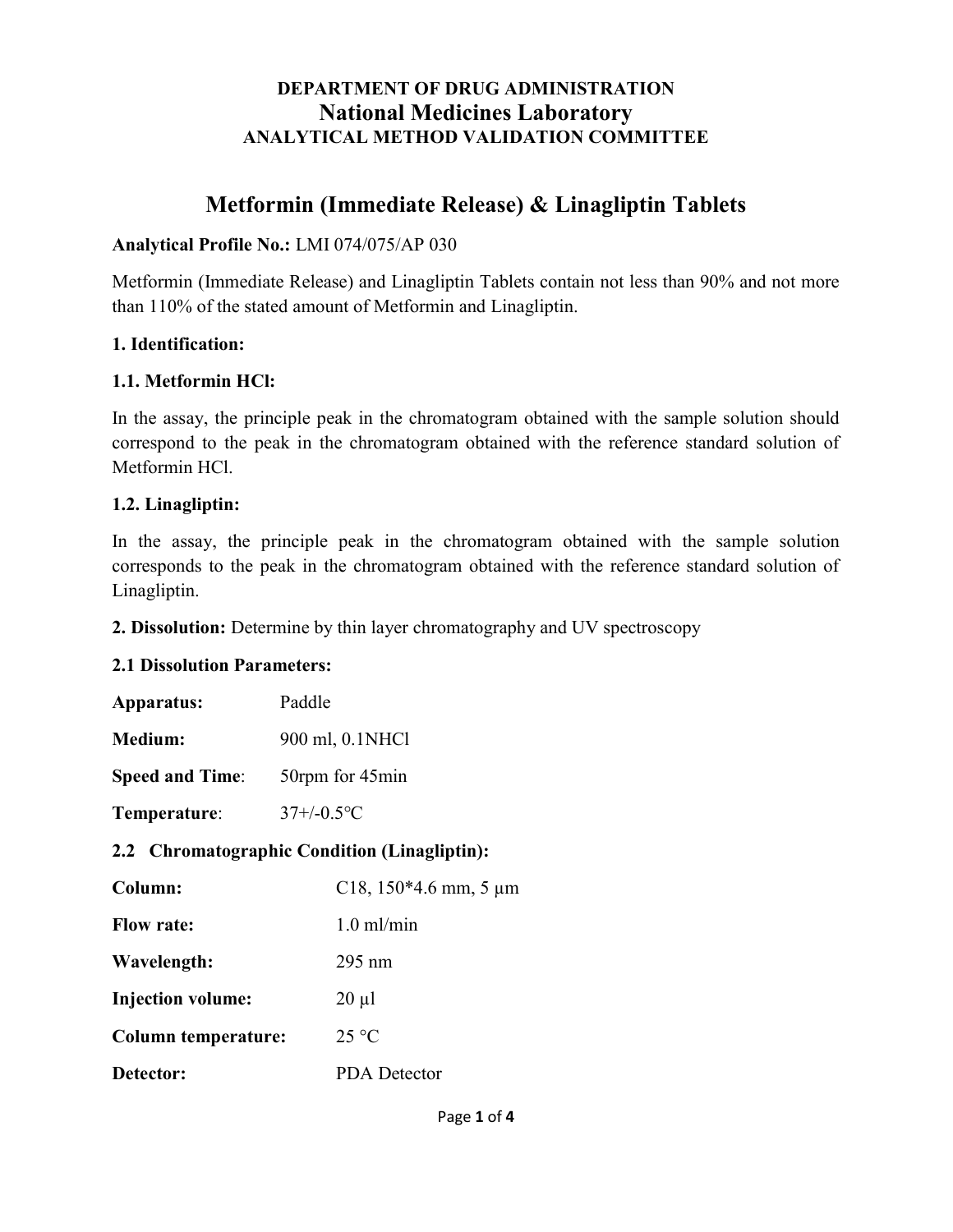# DEPARTMENT OF DRUG ADMINISTRATION National Medicines Laboratory ANALYTICAL METHOD VALIDATION COMMITTEE

# Metformin (Immediate Release) & Linagliptin Tablets

#### Analytical Profile No.: LMI 074/075/AP 030

Metformin (Immediate Release) and Linagliptin Tablets contain not less than 90% and not more than 110% of the stated amount of Metformin and Linagliptin.

#### 1. Identification:

#### 1.1. Metformin HCl:

In the assay, the principle peak in the chromatogram obtained with the sample solution should correspond to the peak in the chromatogram obtained with the reference standard solution of Metformin HCl.

#### 1.2. Linagliptin:

In the assay, the principle peak in the chromatogram obtained with the sample solution corresponds to the peak in the chromatogram obtained with the reference standard solution of Linagliptin.

2. Dissolution: Determine by thin layer chromatography and UV spectroscopy

#### 2.1 Dissolution Parameters:

| Apparatus:                                   | Paddle                  |  |
|----------------------------------------------|-------------------------|--|
| <b>Medium:</b>                               | 900 ml, 0.1NHCl         |  |
| <b>Speed and Time:</b>                       | 50rpm for 45min         |  |
| Temperature:                                 | $37+/-0.5$ °C           |  |
| 2.2 Chromatographic Condition (Linagliptin): |                         |  |
| Column:                                      | C18, $150*4.6$ mm, 5 µm |  |
| <b>Flow rate:</b>                            | $1.0$ ml/min            |  |
| Wavelength:                                  | $295 \text{ nm}$        |  |
| <b>Injection volume:</b>                     | $20 \mu l$              |  |
| <b>Column temperature:</b>                   | $25^{\circ}$ C          |  |
| Detector:                                    | <b>PDA</b> Detector     |  |
|                                              |                         |  |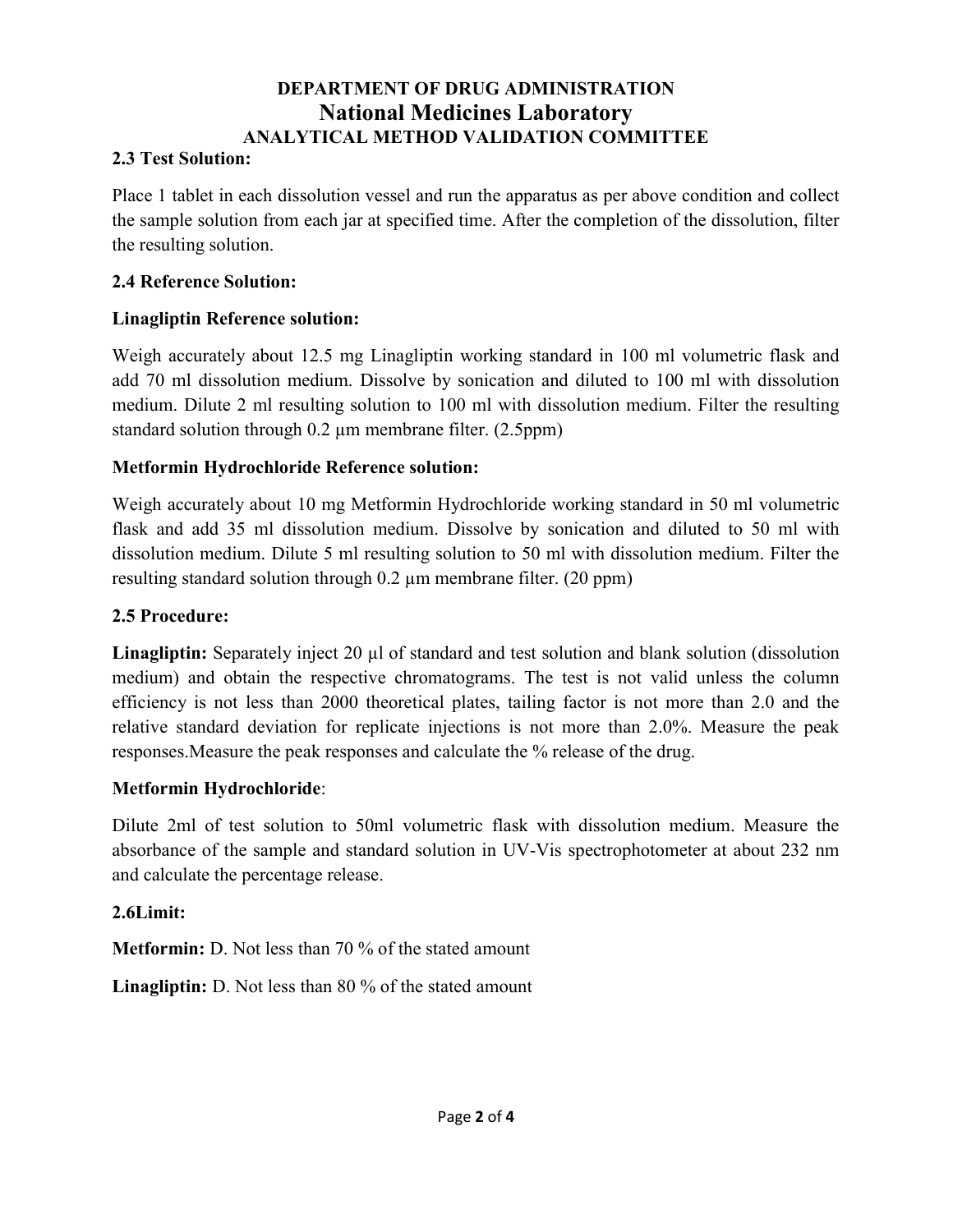# DEPARTMENT OF DRUG ADMINISTRATION National Medicines Laboratory ANALYTICAL METHOD VALIDATION COMMITTEE

### 2.3 Test Solution:

Place 1 tablet in each dissolution vessel and run the apparatus as per above condition and collect the sample solution from each jar at specified time. After the completion of the dissolution, filter the resulting solution.

#### 2.4 Reference Solution:

## Linagliptin Reference solution:

Weigh accurately about 12.5 mg Linagliptin working standard in 100 ml volumetric flask and add 70 ml dissolution medium. Dissolve by sonication and diluted to 100 ml with dissolution medium. Dilute 2 ml resulting solution to 100 ml with dissolution medium. Filter the resulting standard solution through 0.2 µm membrane filter. (2.5ppm)

## Metformin Hydrochloride Reference solution:

Weigh accurately about 10 mg Metformin Hydrochloride working standard in 50 ml volumetric flask and add 35 ml dissolution medium. Dissolve by sonication and diluted to 50 ml with dissolution medium. Dilute 5 ml resulting solution to 50 ml with dissolution medium. Filter the resulting standard solution through 0.2 µm membrane filter. (20 ppm)

## 2.5 Procedure:

Linagliptin: Separately inject 20 µl of standard and test solution and blank solution (dissolution medium) and obtain the respective chromatograms. The test is not valid unless the column efficiency is not less than 2000 theoretical plates, tailing factor is not more than 2.0 and the relative standard deviation for replicate injections is not more than 2.0%. Measure the peak responses.Measure the peak responses and calculate the % release of the drug.

## Metformin Hydrochloride:

Dilute 2ml of test solution to 50ml volumetric flask with dissolution medium. Measure the absorbance of the sample and standard solution in UV-Vis spectrophotometer at about 232 nm and calculate the percentage release.

## 2.6Limit:

Metformin: D. Not less than 70 % of the stated amount

Linagliptin: D. Not less than 80 % of the stated amount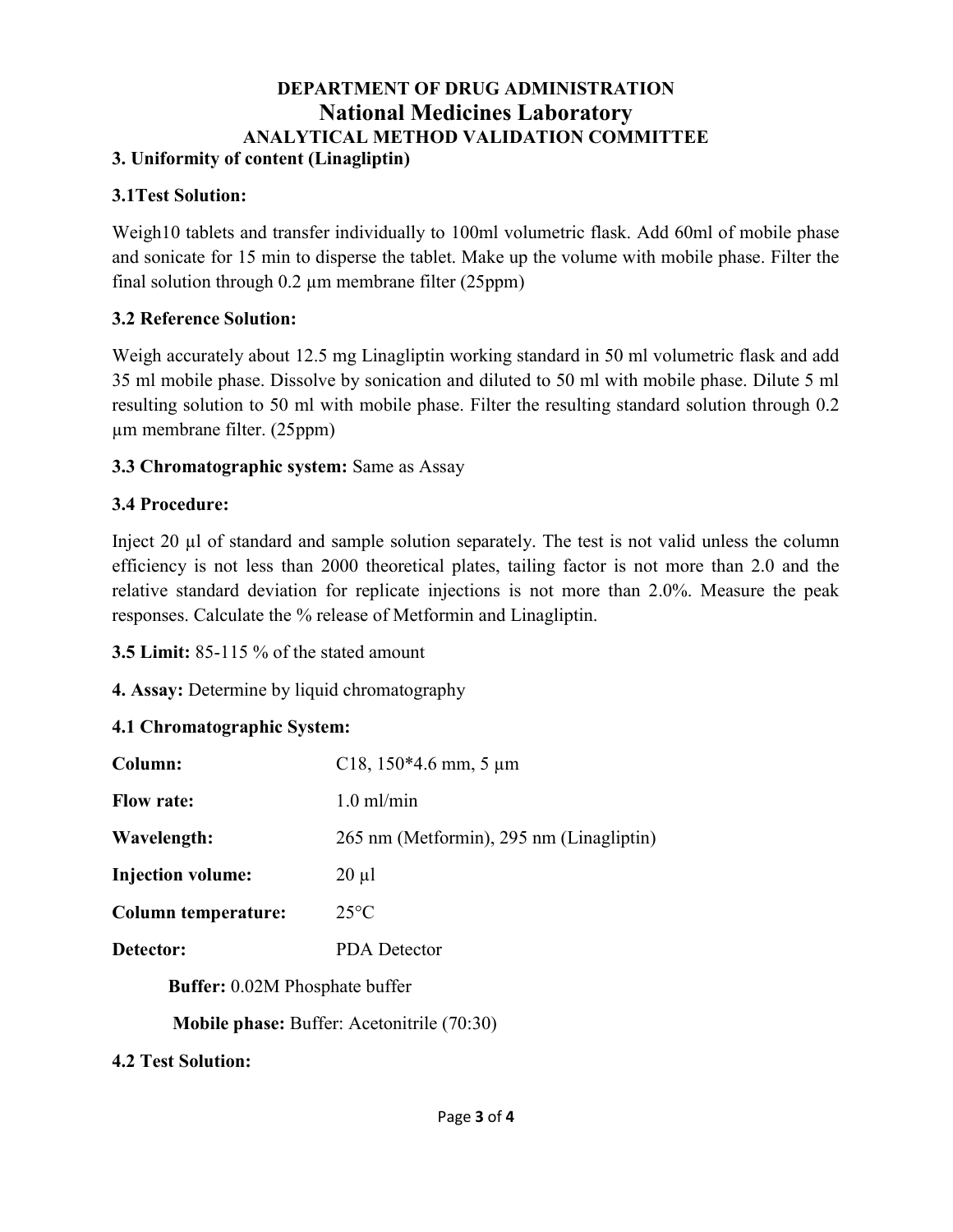#### DEPARTMENT OF DRUG ADMINISTRATION National Medicines Laboratory ANALYTICAL METHOD VALIDATION COMMITTEE 3. Uniformity of content (Linagliptin)

#### 3.1Test Solution:

Weigh10 tablets and transfer individually to 100ml volumetric flask. Add 60ml of mobile phase and sonicate for 15 min to disperse the tablet. Make up the volume with mobile phase. Filter the final solution through 0.2 µm membrane filter (25ppm)

#### 3.2 Reference Solution:

Weigh accurately about 12.5 mg Linagliptin working standard in 50 ml volumetric flask and add 35 ml mobile phase. Dissolve by sonication and diluted to 50 ml with mobile phase. Dilute 5 ml resulting solution to 50 ml with mobile phase. Filter the resulting standard solution through 0.2 µm membrane filter. (25ppm)

### 3.3 Chromatographic system: Same as Assay

### 3.4 Procedure:

Inject 20 µl of standard and sample solution separately. The test is not valid unless the column efficiency is not less than 2000 theoretical plates, tailing factor is not more than 2.0 and the relative standard deviation for replicate injections is not more than 2.0%. Measure the peak responses. Calculate the % release of Metformin and Linagliptin.

3.5 Limit: 85-115 % of the stated amount

4. Assay: Determine by liquid chromatography

#### 4.1 Chromatographic System:

| Column:                               | C18, $150*4.6$ mm, 5 µm                           |
|---------------------------------------|---------------------------------------------------|
| <b>Flow rate:</b>                     | $1.0 \text{ ml/min}$                              |
| Wavelength:                           | 265 nm (Metformin), 295 nm (Linagliptin)          |
| <b>Injection volume:</b>              | $20 \mu l$                                        |
| <b>Column temperature:</b>            | $25^{\circ}$ C                                    |
| Detector:                             | <b>PDA</b> Detector                               |
| <b>Buffer:</b> 0.02M Phosphate buffer |                                                   |
|                                       | $M_0$ bila nhagay $D_1$ ffam A actomity $(70.20)$ |

Mobile phase: Buffer: Acetonitrile (70:30)

4.2 Test Solution: